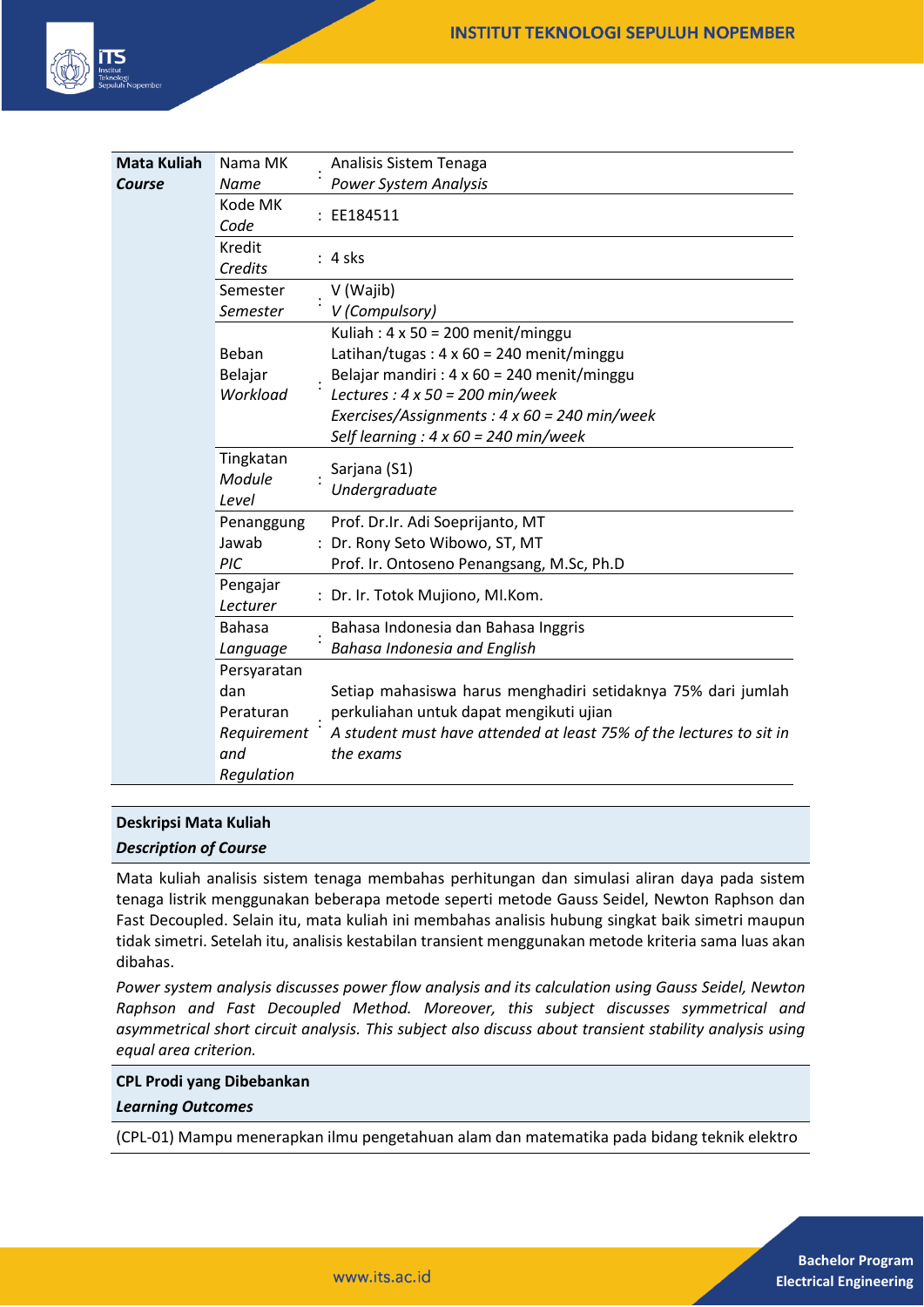

| <b>Mata Kuliah</b> | Nama MK                      |  | Analisis Sistem Tenaga                                                           |
|--------------------|------------------------------|--|----------------------------------------------------------------------------------|
| Course             | Name                         |  | <b>Power System Analysis</b>                                                     |
|                    | Kode MK<br>Code              |  | : EE184511                                                                       |
|                    | Kredit<br>Credits            |  | : 4 sks                                                                          |
|                    | Semester                     |  | V (Wajib)                                                                        |
|                    | Semester                     |  | V (Compulsory)                                                                   |
|                    |                              |  | Kuliah: $4 \times 50 = 200$ menit/minggu                                         |
|                    | Beban                        |  | Latihan/tugas: $4 \times 60 = 240$ menit/minggu                                  |
|                    | Belajar                      |  | Belajar mandiri : $4 \times 60 = 240$ menit/minggu                               |
|                    | Workload                     |  | Lectures : $4 \times 50 = 200$ min/week                                          |
|                    |                              |  | Exercises/Assignments : $4 \times 60 = 240$ min/week                             |
|                    |                              |  | Self learning : $4 \times 60 = 240$ min/week                                     |
|                    | Tingkatan<br>Module<br>Level |  | Sarjana (S1)<br>Undergraduate                                                    |
|                    | Penanggung                   |  | Prof. Dr.Ir. Adi Soeprijanto, MT                                                 |
|                    | Jawab                        |  | : Dr. Rony Seto Wibowo, ST, MT                                                   |
|                    | PIC                          |  | Prof. Ir. Ontoseno Penangsang, M.Sc, Ph.D                                        |
|                    | Pengajar<br>Lecturer         |  | : Dr. Ir. Totok Mujiono, MI.Kom.                                                 |
|                    | <b>Bahasa</b>                |  | Bahasa Indonesia dan Bahasa Inggris                                              |
|                    | Language                     |  | Bahasa Indonesia and English                                                     |
|                    | Persyaratan                  |  |                                                                                  |
|                    | dan                          |  | Setiap mahasiswa harus menghadiri setidaknya 75% dari jumlah                     |
|                    | Peraturan                    |  | perkuliahan untuk dapat mengikuti ujian                                          |
|                    | Requirement<br>and           |  | A student must have attended at least 75% of the lectures to sit in<br>the exams |
|                    | Regulation                   |  |                                                                                  |

#### **Deskripsi Mata Kuliah**

#### *Description of Course*

Mata kuliah analisis sistem tenaga membahas perhitungan dan simulasi aliran daya pada sistem tenaga listrik menggunakan beberapa metode seperti metode Gauss Seidel, Newton Raphson dan Fast Decoupled. Selain itu, mata kuliah ini membahas analisis hubung singkat baik simetri maupun tidak simetri. Setelah itu, analisis kestabilan transient menggunakan metode kriteria sama luas akan dibahas.

*Power system analysis discusses power flow analysis and its calculation using Gauss Seidel, Newton Raphson and Fast Decoupled Method. Moreover, this subject discusses symmetrical and asymmetrical short circuit analysis. This subject also discuss about transient stability analysis using equal area criterion.*

#### **CPL Prodi yang Dibebankan**

#### *Learning Outcomes*

(CPL-01) Mampu menerapkan ilmu pengetahuan alam dan matematika pada bidang teknik elektro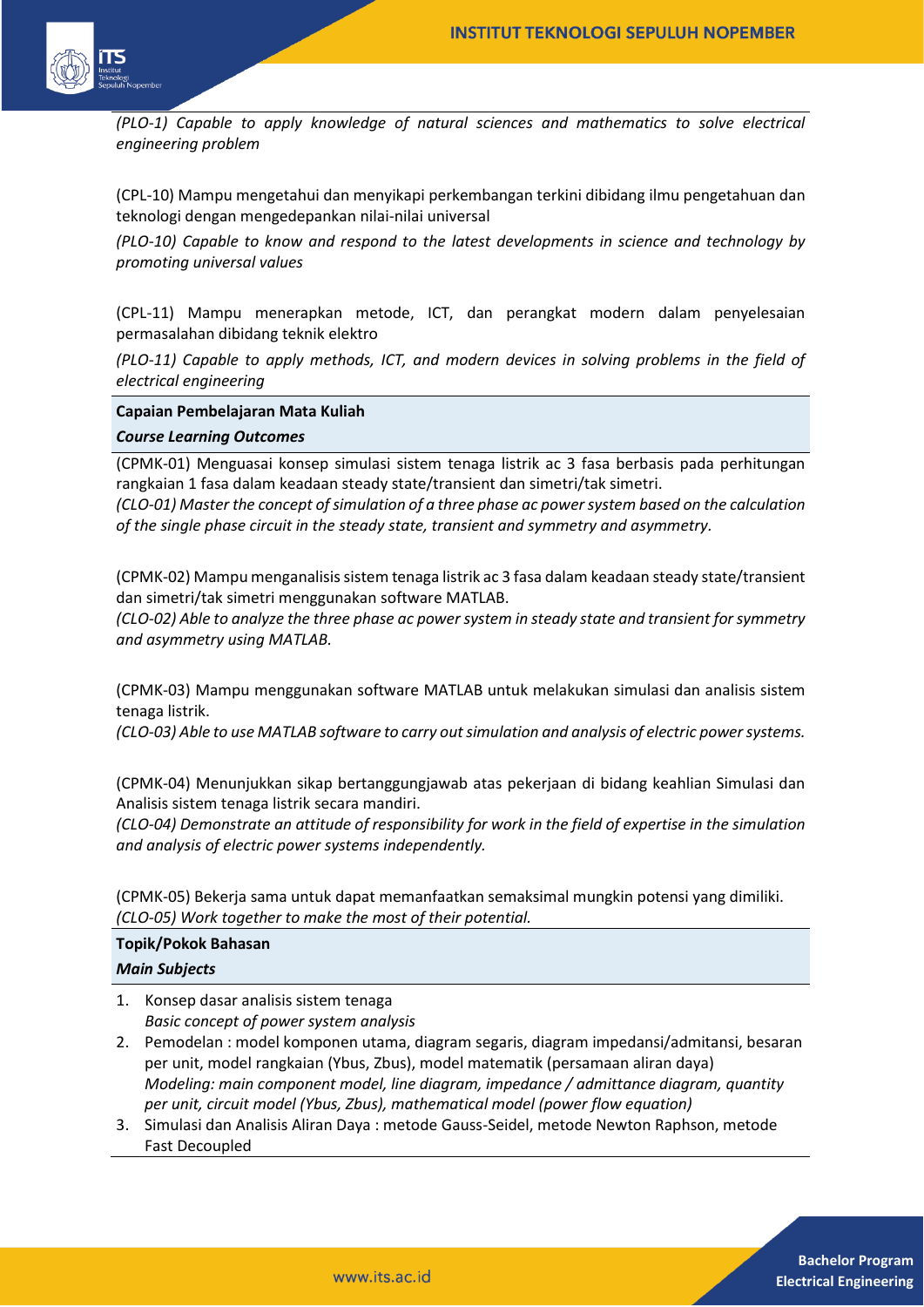

*(PLO-1) Capable to apply knowledge of natural sciences and mathematics to solve electrical engineering problem* 

(CPL-10) Mampu mengetahui dan menyikapi perkembangan terkini dibidang ilmu pengetahuan dan teknologi dengan mengedepankan nilai-nilai universal

*(PLO-10) Capable to know and respond to the latest developments in science and technology by promoting universal values* 

(CPL-11) Mampu menerapkan metode, ICT, dan perangkat modern dalam penyelesaian permasalahan dibidang teknik elektro

*(PLO-11) Capable to apply methods, ICT, and modern devices in solving problems in the field of electrical engineering*

#### **Capaian Pembelajaran Mata Kuliah**

#### *Course Learning Outcomes*

(CPMK-01) Menguasai konsep simulasi sistem tenaga listrik ac 3 fasa berbasis pada perhitungan rangkaian 1 fasa dalam keadaan steady state/transient dan simetri/tak simetri.

*(CLO-01) Master the concept of simulation of a three phase ac power system based on the calculation of the single phase circuit in the steady state, transient and symmetry and asymmetry.*

(CPMK-02) Mampu menganalisis sistem tenaga listrik ac 3 fasa dalam keadaan steady state/transient dan simetri/tak simetri menggunakan software MATLAB.

*(CLO-02) Able to analyze the three phase ac power system in steady state and transient for symmetry and asymmetry using MATLAB.*

(CPMK-03) Mampu menggunakan software MATLAB untuk melakukan simulasi dan analisis sistem tenaga listrik.

*(CLO-03) Able to use MATLAB software to carry out simulation and analysis of electric power systems.*

(CPMK-04) Menunjukkan sikap bertanggungjawab atas pekerjaan di bidang keahlian Simulasi dan Analisis sistem tenaga listrik secara mandiri.

*(CLO-04) Demonstrate an attitude of responsibility for work in the field of expertise in the simulation and analysis of electric power systems independently.* 

(CPMK-05) Bekerja sama untuk dapat memanfaatkan semaksimal mungkin potensi yang dimiliki. *(CLO-05) Work together to make the most of their potential.*

# **Topik/Pokok Bahasan** *Main Subjects*

- 1. Konsep dasar analisis sistem tenaga *Basic concept of power system analysis*
- 2. Pemodelan : model komponen utama, diagram segaris, diagram impedansi/admitansi, besaran per unit, model rangkaian (Ybus, Zbus), model matematik (persamaan aliran daya) *Modeling: main component model, line diagram, impedance / admittance diagram, quantity per unit, circuit model (Ybus, Zbus), mathematical model (power flow equation)*
- 3. Simulasi dan Analisis Aliran Daya : metode Gauss-Seidel, metode Newton Raphson, metode Fast Decoupled